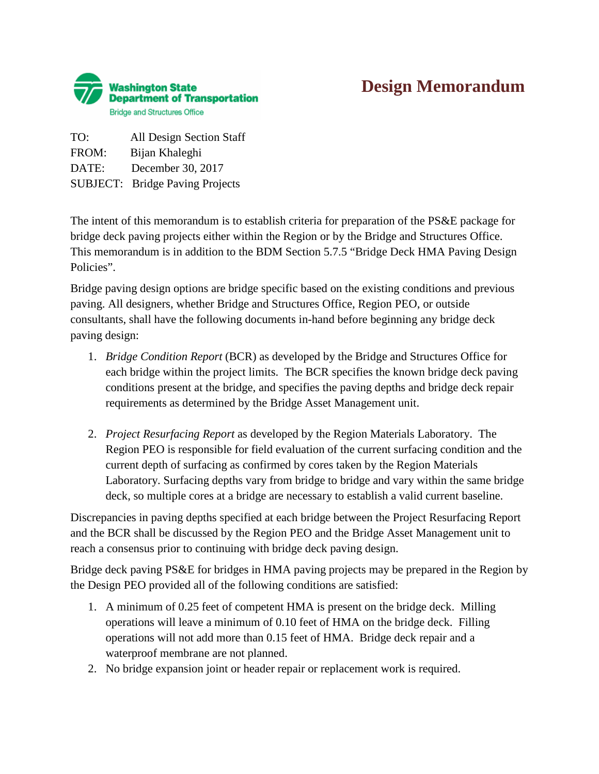

## **Design Memorandum**

TO: All Design Section Staff FROM: Bijan Khaleghi DATE: December 30, 2017 SUBJECT: Bridge Paving Projects

The intent of this memorandum is to establish criteria for preparation of the PS&E package for bridge deck paving projects either within the Region or by the Bridge and Structures Office. This memorandum is in addition to the BDM Section 5.7.5 "Bridge Deck HMA Paving Design Policies".

Bridge paving design options are bridge specific based on the existing conditions and previous paving. All designers, whether Bridge and Structures Office, Region PEO, or outside consultants, shall have the following documents in-hand before beginning any bridge deck paving design:

- 1. *Bridge Condition Report* (BCR) as developed by the Bridge and Structures Office for each bridge within the project limits. The BCR specifies the known bridge deck paving conditions present at the bridge, and specifies the paving depths and bridge deck repair requirements as determined by the Bridge Asset Management unit.
- 2. *Project Resurfacing Report* as developed by the Region Materials Laboratory. The Region PEO is responsible for field evaluation of the current surfacing condition and the current depth of surfacing as confirmed by cores taken by the Region Materials Laboratory. Surfacing depths vary from bridge to bridge and vary within the same bridge deck, so multiple cores at a bridge are necessary to establish a valid current baseline.

Discrepancies in paving depths specified at each bridge between the Project Resurfacing Report and the BCR shall be discussed by the Region PEO and the Bridge Asset Management unit to reach a consensus prior to continuing with bridge deck paving design.

Bridge deck paving PS&E for bridges in HMA paving projects may be prepared in the Region by the Design PEO provided all of the following conditions are satisfied:

- 1. A minimum of 0.25 feet of competent HMA is present on the bridge deck. Milling operations will leave a minimum of 0.10 feet of HMA on the bridge deck. Filling operations will not add more than 0.15 feet of HMA. Bridge deck repair and a waterproof membrane are not planned.
- 2. No bridge expansion joint or header repair or replacement work is required.